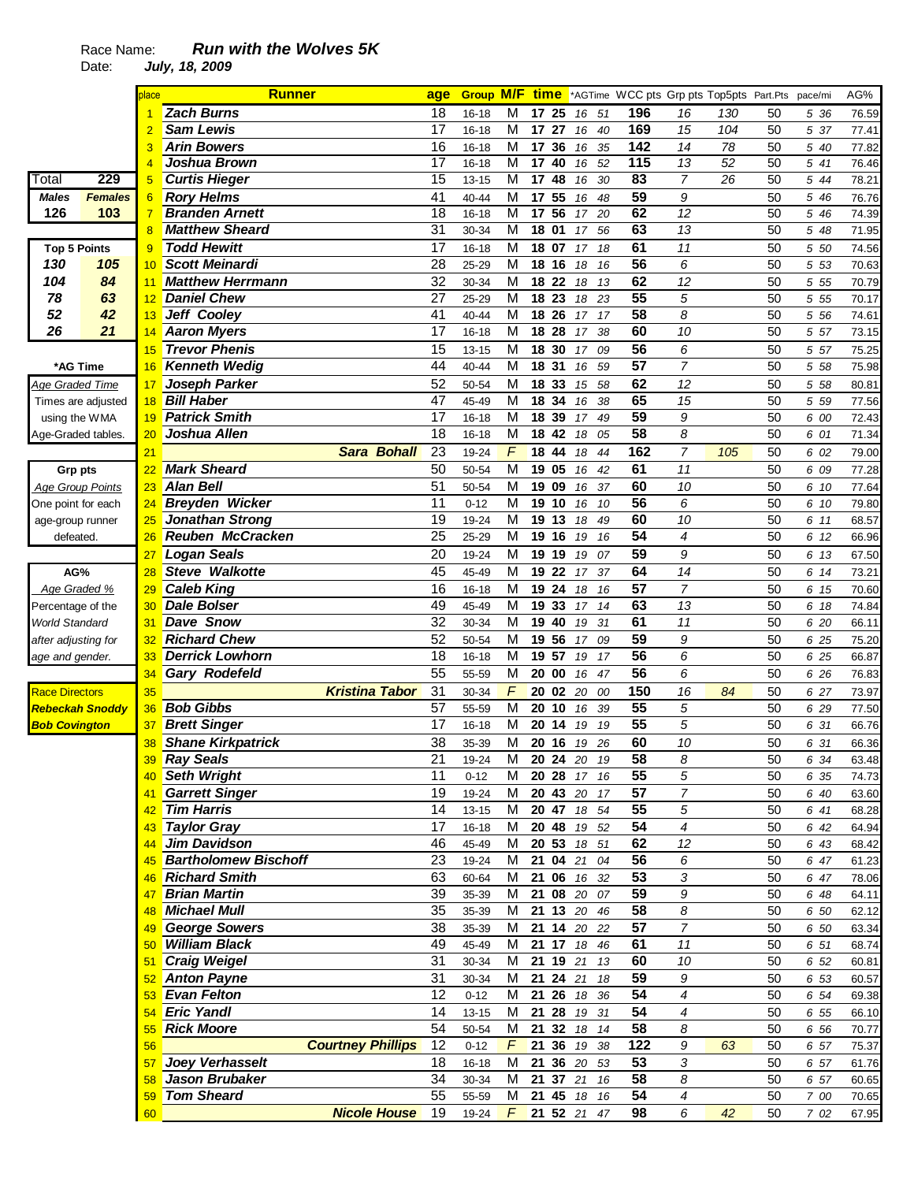|                         |                              | place           | <b>Runner</b>                              |                          | age             |           |                |             |          |             |                 | <b>Group M/F time</b> *AGTime WCC pts Grp pts Top5pts Part.Pts pace/mi |     |          |       | AG%   |
|-------------------------|------------------------------|-----------------|--------------------------------------------|--------------------------|-----------------|-----------|----------------|-------------|----------|-------------|-----------------|------------------------------------------------------------------------|-----|----------|-------|-------|
|                         |                              |                 | <b>Zach Burns</b>                          |                          | 18              | $16 - 18$ | м              | 17 25       |          | 51<br>16    | 196             | 16                                                                     | 130 | 50       | 5 36  | 76.59 |
|                         |                              | 2               | <b>Sam Lewis</b>                           |                          | 17              | 16-18     | M              | 17 27       |          | 40<br>16    | 169             | 15                                                                     | 104 | 50       | 5 37  | 77.41 |
|                         |                              | 3               | <b>Arin Bowers</b>                         |                          | 16              | 16-18     | M              | 17          | 36       | 35<br>16    | 142             | 14                                                                     | 78  | 50       | 5 40  | 77.82 |
|                         |                              | 4               | Joshua Brown                               |                          | 17              | 16-18     | M              | 17 40       |          | 52<br>16    | 115             | 13                                                                     | 52  | 50       | 5 41  | 76.46 |
| Total                   | 229                          | 5               | <b>Curtis Hieger</b>                       |                          | 15              | $13 - 15$ | M              | 17 48       |          | 16<br>30    | 83              | $\overline{7}$                                                         | 26  | 50       | 5 44  | 78.21 |
| Males                   | <b>Females</b>               | $6\phantom{1}6$ | <b>Rory Helms</b>                          |                          | 41              | 40-44     | M              | 17 55       |          | 48<br>16    | $\overline{59}$ | 9                                                                      |     | 50       | 5 46  | 76.76 |
| 126                     | 103                          | $\overline{7}$  | <b>Branden Arnett</b>                      |                          | 18              | $16 - 18$ | M              | 17          | 56       | 20<br>17    | 62              | 12                                                                     |     | 50       | 5 46  | 74.39 |
|                         |                              | 8               | <b>Matthew Sheard</b>                      |                          | 31              | 30-34     | M              | 18 01       |          | 56<br>17    | 63              | 13                                                                     |     | 50       | 5 48  | 71.95 |
| <b>Top 5 Points</b>     |                              | 9               | <b>Todd Hewitt</b>                         |                          | 17              | 16-18     | M              | 18 07       |          | 18<br>17    | 61              | 11                                                                     |     | 50       | 5 50  | 74.56 |
| 130                     | 105                          | 10              | <b>Scott Meinardi</b>                      |                          | 28              | 25-29     | M              | 18          | 16       | 18<br>16    | 56              | 6                                                                      |     | 50       | 5 5 3 | 70.63 |
| 104                     | 84                           | 11              | <b>Matthew Herrmann</b>                    |                          | 32              | 30-34     | M              | 18 22       |          | 18<br>13    | 62              | 12                                                                     |     | 50       | 5 5 5 | 70.79 |
| 78                      | 63                           | 12              | <b>Daniel Chew</b>                         |                          | 27              | 25-29     | M              | 18          | 23       | 18<br>23    | 55              | 5                                                                      |     | 50       | 5 5 5 | 70.17 |
| 52                      | 42                           | 13              | Jeff Cooley                                |                          | 41              | 40-44     | М              | 18 26       |          | 17<br>17    | 58              | 8                                                                      |     | 50       | 5 5 6 | 74.61 |
| 26                      | 21                           | 14              | <b>Aaron Myers</b>                         |                          | 17              | $16 - 18$ | M              | 18 28       |          | 38<br>17    | 60              | 10                                                                     |     | 50       | 5 57  | 73.15 |
|                         |                              | 15              | <b>Trevor Phenis</b>                       |                          | 15              | $13 - 15$ | M              | 18 30       |          | 17<br>09    | 56              | 6                                                                      |     | 50       | 5 57  | 75.25 |
| *AG Time                |                              | 16              | <b>Kenneth Wedig</b>                       |                          | 44              | 40-44     | M              | 18 31       |          | 59<br>16    | 57              | 7                                                                      |     | 50       | 5 58  | 75.98 |
| Age Graded Time         |                              | 17              | Joseph Parker                              |                          | 52              | 50-54     | M              | 18 33       |          | 58<br>15    | 62              | 12                                                                     |     | 50       | 5 58  | 80.81 |
| Times are adjusted      |                              | 18              | <b>Bill Haber</b>                          |                          | 47              | 45-49     | M              | 18          | 34       | 38<br>16    | 65              | 15                                                                     |     | 50       | 5 5 9 | 77.56 |
|                         |                              | 19              | <b>Patrick Smith</b>                       |                          | 17              | $16 - 18$ | M              | 18          | 39       | 17<br>49    | 59              | 9                                                                      |     | 50       | 6 00  | 72.43 |
| using the WMA           |                              | 20              | Joshua Allen                               |                          | 18              | 16-18     | M              | 18          | 42       | 18<br>05    | 58              | 8                                                                      |     | 50       | 6 01  | 71.34 |
| Age-Graded tables       |                              | 21              |                                            | <b>Sara Bohall</b>       | 23              | 19-24     | F              | 18          | 44       | 18<br>44    | 162             | 7                                                                      | 105 | 50       | 6 02  | 79.00 |
|                         |                              |                 | <b>Mark Sheard</b>                         |                          | 50              |           |                |             |          |             | 61              |                                                                        |     |          |       |       |
| Grp pts                 |                              | 22              | <b>Alan Bell</b>                           |                          | 51              | 50-54     | M              | 19<br>19 09 | 05       | 42<br>16    |                 | 11                                                                     |     | 50       | 6 09  | 77.28 |
| <b>Age Group Points</b> |                              | 23              |                                            |                          | 11              | 50-54     | M              |             |          | 16<br>37    | 60<br>56        | 10                                                                     |     | 50       | 6 10  | 77.64 |
| One point for each      |                              | 24              | <b>Breyden Wicker</b>                      |                          |                 | $0 - 12$  | M              | 19          | 10       | 16<br>10    |                 | 6                                                                      |     | 50       | 6 10  | 79.80 |
| age-group runner        |                              | 25              | <b>Jonathan Strong</b><br>Reuben McCracken |                          | 19<br>25        | 19-24     | M<br>M         | 19 13       |          | 49<br>18    | 60<br>54        | 10<br>4                                                                |     | 50<br>50 | 6 11  | 68.57 |
| defeated.               |                              | 26              |                                            |                          |                 | 25-29     |                | 19 16       |          | 19<br>16    |                 |                                                                        |     |          | 6 12  | 66.96 |
|                         |                              | 27              | <b>Logan Seals</b>                         |                          | $\overline{20}$ | 19-24     | M              | 19 19       |          | 19<br>07    | 59              | 9                                                                      |     | 50       | 6 13  | 67.50 |
| AG%                     |                              | 28              | <b>Steve Walkotte</b>                      |                          | 45              | 45-49     | M              | 19          | 22       | 37<br>17    | 64              | 14                                                                     |     | 50       | 6 14  | 73.21 |
| Age Graded %            |                              | 29              | <b>Caleb King</b>                          |                          | 16              | 16-18     | M              | 19          | 24       | 18<br>16    | 57              | $\overline{7}$                                                         |     | 50       | 6 15  | 70.60 |
| Percentage of the       |                              | 30              | <b>Dale Bolser</b>                         |                          | 49              | 45-49     | M              | 19          | 33       | 14<br>17    | 63              | 13                                                                     |     | 50       | 6 18  | 74.84 |
| <b>World Standard</b>   |                              | 31              | <b>Dave Snow</b>                           |                          | 32              | 30-34     | M              | 19          | 40       | 31<br>19    | 61              | 11                                                                     |     | 50       | 6 20  | 66.11 |
| after adjusting for     |                              | 32              | <b>Richard Chew</b>                        |                          | 52              | 50-54     | M              | 19          | 56       | 09<br>17    | 59              | 9                                                                      |     | 50       | 6 25  | 75.20 |
| age and gender.         |                              | 33              | <b>Derrick Lowhorn</b>                     |                          | 18              | 16-18     | M              | 19 57       |          | 19<br>17    | 56              | 6                                                                      |     | 50       | 6 25  | 66.87 |
|                         |                              | 34              | Gary Rodefeld                              |                          | 55              | 55-59     | М              | 20 00       |          | 47<br>16    | 56              | 6                                                                      |     | 50       | 6 26  | 76.83 |
| <b>Race Directors</b>   |                              | 35              |                                            | <b>Kristina Tabor</b>    | 31              | 30-34     | F              | 20 02       |          | 20<br>00    | 150             | 16                                                                     | 84  | 50       | 6 27  | 73.97 |
|                         | <mark>Rebeckah Snoddy</mark> | 36              | <b>Bob Gibbs</b>                           |                          | 57              | 55-59     | M              | 20          | 10       | 16<br>39    | 55              | 5                                                                      |     | 50       | 6 29  | 77.50 |
| <b>Bob Covington</b>    |                              | 37              | <b>Brett Singer</b>                        |                          | 17              | $16 - 18$ | M              | 20          | 14       | 19<br>19    | 55              | 5                                                                      |     | 50       | 6 31  | 66.76 |
|                         |                              | 38              | <b>Shane Kirkpatrick</b>                   |                          | 38              | 35-39     | M              | 20 16       |          | 19 26       | 60              | 10                                                                     |     | 50       | 6 31  | 66.36 |
|                         |                              |                 | <b>Ray Seals</b>                           |                          | $\overline{21}$ | 19-24     | $\overline{M}$ |             |          | 20 24 20 19 | 58              | 8                                                                      |     | 50       | 6 34  | 63.48 |
|                         |                              |                 | 40 Seth Wright                             |                          | 11              | $0 - 12$  | М              |             |          | 20 28 17 16 | 55              | 5                                                                      |     | 50       | 6 35  | 74.73 |
|                         |                              | 41              | <b>Garrett Singer</b>                      |                          | 19              | 19-24     | M              | 20 43       |          | 20<br>17    | 57              | $\overline{7}$                                                         |     | 50       | 6 40  | 63.60 |
|                         |                              | 42              | <b>Tim Harris</b>                          |                          | 14              | $13 - 15$ | M              | 20 47       |          | 18<br>54    | 55              | 5                                                                      |     | 50       | 6 41  | 68.28 |
|                         |                              | 43              | <b>Taylor Gray</b>                         |                          | 17              | $16 - 18$ | M              | 20 48       |          | 19 52       | 54              | 4                                                                      |     | 50       | 6 42  | 64.94 |
|                         |                              | 44              | <b>Jim Davidson</b>                        |                          | 46              | 45-49     | м              |             |          | 20 53 18 51 | 62              | 12                                                                     |     | 50       | 6 43  | 68.42 |
|                         |                              | 45              | <b>Bartholomew Bischoff</b>                |                          | 23              | 19-24     | M              |             | 21 04 21 | 04          | 56              | 6                                                                      |     | 50       | 6 47  | 61.23 |
|                         |                              | 46              | <b>Richard Smith</b>                       |                          | 63              | 60-64     | M              | 21 06       |          | 16 32       | 53              | $\sqrt{3}$                                                             |     | 50       | 6 47  | 78.06 |
|                         |                              | 47              | <b>Brian Martin</b>                        |                          | 39              | 35-39     | M              |             |          | 21 08 20 07 | 59              | 9                                                                      |     | 50       | 6 48  | 64.11 |
|                         |                              | 48              | <b>Michael Mull</b>                        |                          | 35              | 35-39     | М              |             |          | 21 13 20 46 | 58              | 8                                                                      |     | 50       | 6 50  | 62.12 |
|                         |                              | 49              | <b>George Sowers</b>                       |                          | 38              | 35-39     | M              |             |          | 21 14 20 22 | 57              | $\overline{7}$                                                         |     | 50       | 6 50  | 63.34 |
|                         |                              | 50 <sub>o</sub> | <b>William Black</b>                       |                          | 49              | 45-49     | M              | 21 17       |          | 18<br>46    | 61              | 11                                                                     |     | 50       | 6 51  | 68.74 |
|                         |                              | 51              | <b>Craig Weigel</b>                        |                          | 31              | 30-34     | M              |             | 21 19 21 | 13          | 60              | 10                                                                     |     | 50       | 6 52  | 60.81 |
|                         |                              |                 | 52 Anton Payne                             |                          | 31              | 30-34     | м              |             | 21 24 21 | 18          | 59              | 9                                                                      |     | 50       | 6 53  | 60.57 |
|                         |                              | 53              | <b>Evan Felton</b>                         |                          | 12              | $0 - 12$  | M              | 21 26       |          | 18<br>36    | 54              | 4                                                                      |     | 50       | 6 54  | 69.38 |
|                         |                              | 54              | <b>Eric Yandl</b>                          |                          | 14              | $13 - 15$ | M              | 21 28       |          | 19 31       | 54              | 4                                                                      |     | 50       | 6 55  | 66.10 |
|                         |                              | 55              | <b>Rick Moore</b>                          |                          | 54              | 50-54     | M              | 21 32       |          | 18<br>14    | $\overline{58}$ | 8                                                                      |     | 50       | 6 56  | 70.77 |
|                         |                              | 56              |                                            | <b>Courtney Phillips</b> | 12              | $0 - 12$  | $\digamma$     | 21 36       |          | 19<br>38    | 122             | 9                                                                      | 63  | 50       | 6 57  | 75.37 |
|                         |                              | 57              | Joey Verhasselt                            |                          | 18              | $16 - 18$ | M              |             |          | 21 36 20 53 | 53              | 3                                                                      |     | 50       | 6 57  | 61.76 |
|                         |                              | 58              | Jason Brubaker                             |                          | 34              | 30-34     | M              |             | 21 37 21 | 16          | 58              | 8                                                                      |     | 50       | 6 57  | 60.65 |
|                         |                              | 59              | <b>Tom Sheard</b>                          |                          | 55              | 55-59     | M              |             | 21 45    | 18<br>16    | 54              | 4                                                                      |     | 50       | 7 00  | 70.65 |
|                         |                              | 60              |                                            | <b>Nicole House</b>      | 19              | 19-24     | F              |             |          | 21 52 21 47 | 98              | 6                                                                      | 42  | 50       | 7 02  | 67.95 |
|                         |                              |                 |                                            |                          |                 |           |                |             |          |             |                 |                                                                        |     |          |       |       |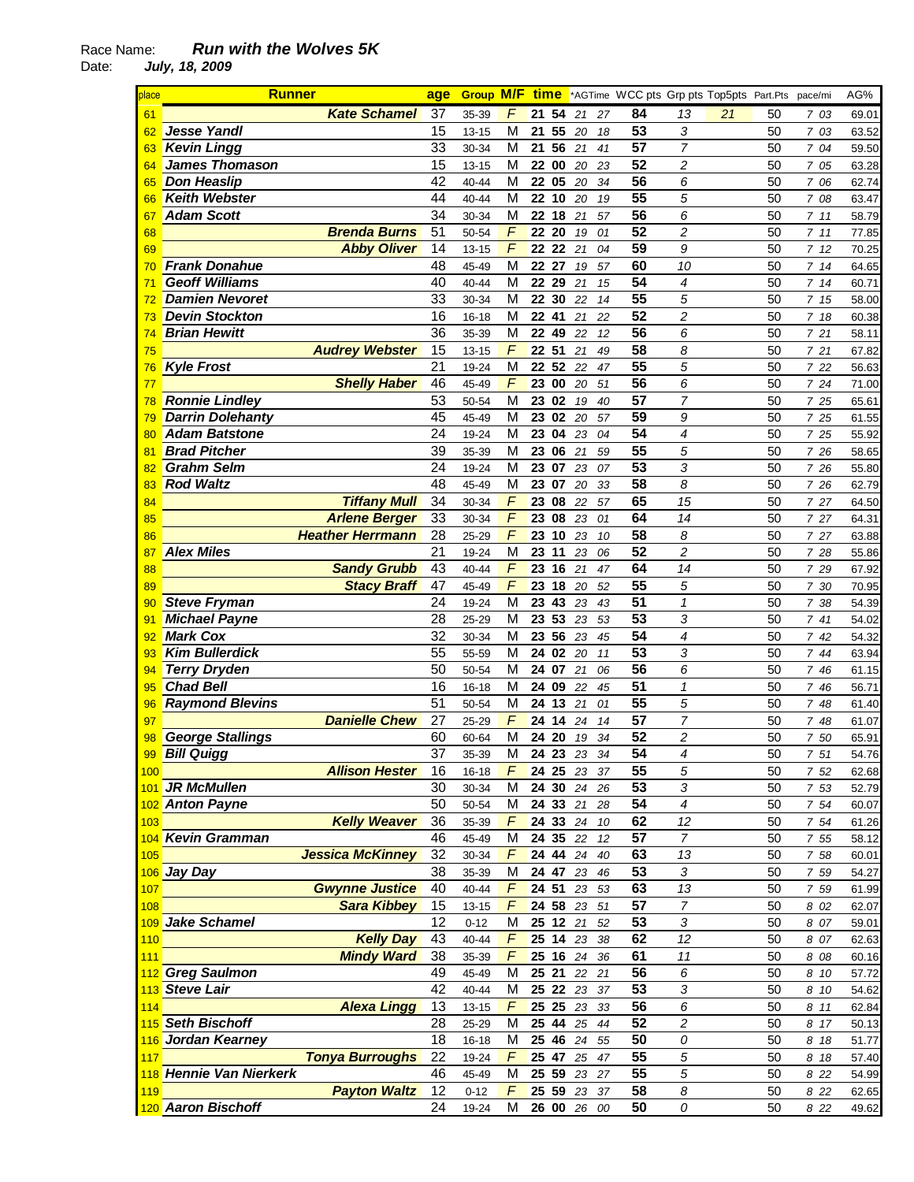| place | <b>Runner</b>           |                       | age             | <b>Group</b> | M/F            | <u>time</u> |       |             |    | *AGTime WCC pts Grp pts Top5pts Part.Pts pace/mi |                  |    |    |         | AG%   |
|-------|-------------------------|-----------------------|-----------------|--------------|----------------|-------------|-------|-------------|----|--------------------------------------------------|------------------|----|----|---------|-------|
| 61    |                         | <b>Kate Schamel</b>   | 37              | 35-39        | F              | 21          | 54    | 21          | 27 | 84                                               | 13               | 21 | 50 | 7 03    | 69.01 |
| 62    | <b>Jesse Yandl</b>      |                       | 15              | $13 - 15$    | M              | 21          | 55    | 20          | 18 | 53                                               | 3                |    | 50 | 7 03    | 63.52 |
| 63    | <b>Kevin Lingg</b>      |                       | 33              | 30-34        | М              | 21          | 56    | 21          | 41 | 57                                               | $\overline{7}$   |    | 50 | 7 04    | 59.50 |
| 64    | <b>James Thomason</b>   |                       | 15              | $13 - 15$    | M              | 22          | 00    | 20          | 23 | 52                                               | 2                |    | 50 | 7 05    | 63.28 |
| 65    | <b>Don Heaslip</b>      |                       | 42              | 40-44        | M              | 22 05       |       | 20          | 34 | 56                                               | 6                |    | 50 | 7 06    | 62.74 |
| 66    | <b>Keith Webster</b>    |                       | 44              | $40 - 44$    | M              | 22          | 10    | 20          | 19 | 55                                               | 5                |    | 50 | 7 08    | 63.47 |
| 67    | <b>Adam Scott</b>       |                       | 34              | 30-34        | M              | 22          | 18    | 21          | 57 | $\overline{56}$                                  | 6                |    | 50 | 711     | 58.79 |
| 68    |                         | <b>Brenda Burns</b>   | $\overline{51}$ | 50-54        | $\overline{F}$ | 22          | 20    | 19          | 01 | 52                                               | $\overline{c}$   |    | 50 | 711     | 77.85 |
| 69    |                         | <b>Abby Oliver</b>    | 14              | $13 - 15$    | $\overline{F}$ | 22          | 22    | 21          | 04 | $\overline{59}$                                  | 9                |    | 50 | 712     | 70.25 |
| 70    | <b>Frank Donahue</b>    |                       | 48              | 45-49        | M              | 22          | 27    | 19          | 57 | 60                                               | 10               |    | 50 | 714     | 64.65 |
| 71    | <b>Geoff Williams</b>   |                       | 40              | 40-44        | M              | 22          | 29    | 21          | 15 | $\overline{54}$                                  | 4                |    | 50 | 714     | 60.71 |
| 72    | <b>Damien Nevoret</b>   |                       | 33              | 30-34        | M              | 22          | 30    | 22          | 14 | 55                                               | 5                |    | 50 | 715     | 58.00 |
| 73    | <b>Devin Stockton</b>   |                       | 16              | $16 - 18$    | M              | 22          | 41    | 21          | 22 | 52                                               | $\overline{c}$   |    | 50 | 7 18    | 60.38 |
| 74    | <b>Brian Hewitt</b>     |                       | 36              | 35-39        | M              | 22          | 49    | 22          | 12 | 56                                               | 6                |    | 50 | 721     | 58.11 |
| 75    | <b>Audrey Webster</b>   |                       | 15              | $13 - 15$    | $\sqrt{2}$     | 22 51       |       | 21          | 49 | 58                                               | 8                |    | 50 | 721     | 67.82 |
| 76    | <b>Kyle Frost</b>       |                       | 21              | 19-24        | M              | 22          | 52    | 22          | 47 | 55                                               | 5                |    | 50 | 7 22    | 56.63 |
| 77    |                         | <b>Shelly Haber</b>   | 46              | 45-49        | F              | 23          | 00    | 20          | 51 | 56                                               | 6                |    | 50 | 7 24    | 71.00 |
| 78    | <b>Ronnie Lindley</b>   |                       | 53              | 50-54        | M              | 23          | 02    | 19          | 40 | 57                                               | 7                |    | 50 | 7 25    | 65.61 |
| 79    | <b>Darrin Dolehanty</b> |                       | 45              | 45-49        | М              | 23          | 02    | 20          | 57 | 59                                               | 9                |    | 50 | 7 25    | 61.55 |
| 80    | <b>Adam Batstone</b>    |                       | 24              | 19-24        | M              | 23          | 04    | 23          | 04 | $\overline{54}$                                  | 4                |    | 50 | 7 25    | 55.92 |
| 81    | <b>Brad Pitcher</b>     |                       | 39              | 35-39        | M              | 23          | 06    | 21          | 59 | $\overline{55}$                                  | 5                |    | 50 | 7 26    | 58.65 |
| 82    | <b>Grahm Selm</b>       |                       | 24              | 19-24        | M              | 23          | 07    | 23          | 07 | $\overline{53}$                                  | 3                |    | 50 | 7 26    | 55.80 |
| 83    | <b>Rod Waltz</b>        |                       | 48              | 45-49        | M              | 23          | 07    | 20          | 33 | $\overline{58}$                                  | 8                |    | 50 | 7 26    | 62.79 |
| 84    |                         | <b>Tiffany Mull</b>   | 34              | 30-34        | $\overline{F}$ | 23          | 08    | 22          | 57 | 65                                               | 15               |    | 50 | 7 27    | 64.50 |
| 85    |                         | <b>Arlene Berger</b>  | 33              | 30-34        | $\overline{F}$ | 23          | 08    | 23          | 01 | 64                                               | 14               |    | 50 | 7 27    | 64.31 |
| 86    | <b>Heather Herrmann</b> |                       | 28              | 25-29        | $\overline{F}$ | 23          | 10    | 23          | 10 | 58                                               | 8                |    | 50 | 7 27    | 63.88 |
| 87    | <b>Alex Miles</b>       |                       | 21              | 19-24        | М              | 23          | 11    | 23          | 06 | 52                                               | 2                |    | 50 | 7 28    | 55.86 |
| 88    |                         | <b>Sandy Grubb</b>    | 43              | 40-44        | F              | 23          | 16    | 21          | 47 | 64                                               | 14               |    | 50 | 7 29    | 67.92 |
| 89    |                         | <b>Stacy Braff</b>    | 47              | 45-49        | F              | 23          | 18    | 20          | 52 | 55                                               | 5                |    | 50 | 7 30    | 70.95 |
| 90    | <b>Steve Fryman</b>     |                       | 24              | 19-24        | M              | 23          | 43    | 23          | 43 | 51                                               | $\mathbf{1}$     |    | 50 | 7 38    | 54.39 |
| 91    | <b>Michael Payne</b>    |                       | $\overline{28}$ | $25 - 29$    | M              | 23          | 53    | 23          | 53 | 53                                               | 3                |    | 50 | 741     | 54.02 |
| 92    | <b>Mark Cox</b>         |                       | 32              | 30-34        | M              | 23          | 56    | 23          | 45 | $\overline{54}$                                  | 4                |    | 50 | 742     | 54.32 |
| 93    | <b>Kim Bullerdick</b>   |                       | 55              | 55-59        | M              | 24          | 02    | 20          | 11 | 53                                               | 3                |    | 50 | 744     | 63.94 |
| 94    | <b>Terry Dryden</b>     |                       | 50              | 50-54        | M              | 24          | 07    | 21          | 06 | $\overline{56}$                                  | 6                |    | 50 | 7 46    | 61.15 |
| 95    | <b>Chad Bell</b>        |                       | 16              | $16 - 18$    | M              | 24          | 09    | 22          | 45 | 51                                               | 1                |    | 50 | 7 46    | 56.71 |
| 96    | <b>Raymond Blevins</b>  |                       | 51              | 50-54        | M              | 24          | 13    | 21          | 01 | $\overline{55}$                                  | 5                |    | 50 | 7 48    | 61.40 |
| 97    |                         | <b>Danielle Chew</b>  | 27              | 25-29        | F              | 24          | 14    | 24          | 14 | 57                                               | $\overline{7}$   |    | 50 | 7 48    | 61.07 |
| 98    | <b>George Stallings</b> |                       | 60              | 60-64        | M              | 24 20       |       | 19          | 34 | $\overline{52}$                                  | $\overline{c}$   |    | 50 | 7 50    | 65.91 |
|       | 99 Bill Quigg           |                       | $\overline{37}$ | 35-39        | М              |             |       | 24 23 23 34 |    | 54                                               | 4                |    | 50 | $7\,51$ | 54.76 |
| 100   |                         | <b>Allison Hester</b> | 16              | 16-18        | F              |             |       | 24 25 23 37 |    | 55                                               | 5                |    | 50 | 7 52    | 62.68 |
|       | 101 JR McMullen         |                       | 30              | 30-34        | М              |             | 24 30 | 24 26       |    | 53                                               | $\sqrt{3}$       |    | 50 | 7 53    | 52.79 |
|       | 102 Anton Payne         |                       | 50              | 50-54        | M              |             |       | 24 33 21    | 28 | 54                                               | $\boldsymbol{4}$ |    | 50 | 7 54    | 60.07 |
| 103   |                         | <b>Kelly Weaver</b>   | 36              | 35-39        | F              |             |       | 24 33 24    | 10 | 62                                               | 12               |    | 50 | 7 54    | 61.26 |
|       | 104 Kevin Gramman       |                       | 46              | 45-49        | M              |             |       | 24 35 22    | 12 | 57                                               | 7                |    | 50 | 7 55    | 58.12 |
| 105   | <b>Jessica McKinney</b> |                       | 32              | 30-34        | F              |             |       | 24 44 24    | 40 | 63                                               | 13               |    | 50 | 7 58    | 60.01 |
|       | 106 Jay Day             |                       | 38              | 35-39        | М              |             | 24 47 | 23          | 46 | 53                                               | 3                |    | 50 | 7 59    | 54.27 |
| 107   |                         | <b>Gwynne Justice</b> | 40              | $40 - 44$    | F              | 24 51       |       | 23          | 53 | 63                                               | 13               |    | 50 | 7 59    | 61.99 |
| 108   |                         | <b>Sara Kibbey</b>    | 15              | $13 - 15$    | F              | 24 58       |       | 23          | 51 | 57                                               | $\overline{7}$   |    | 50 | 8 02    | 62.07 |
|       | 109 Jake Schamel        |                       | 12              | $0 - 12$     | М              |             |       | 25 12 21    | 52 | 53                                               | 3                |    | 50 | 8 07    | 59.01 |
| 110   |                         | <b>Kelly Day</b>      | 43              | $40 - 44$    | F              | 25 14       |       | 23          | 38 | 62                                               | 12               |    | 50 | 8 07    | 62.63 |
| 111   |                         | <b>Mindy Ward</b>     | 38              | 35-39        | F              |             |       | 25 16 24 36 |    | 61                                               | 11               |    | 50 | 8 08    | 60.16 |
|       | 112 Greg Saulmon        |                       | 49              | 45-49        | M              | 25 21       |       | 22 21       |    | 56                                               | 6                |    | 50 | 8 10    | 57.72 |
|       | 113 Steve Lair          |                       | 42              | $40 - 44$    | M              |             |       | 25 22 23    | 37 | 53                                               | 3                |    | 50 | 8 10    | 54.62 |
| 114   |                         | <b>Alexa Lingg</b>    | 13              | 13-15        | F              |             |       | 25 25 23 33 |    | 56                                               | 6                |    | 50 | 8 11    | 62.84 |
|       | 115 Seth Bischoff       |                       | 28              | 25-29        | M              |             |       | 25 44 25 44 |    | 52                                               | $\overline{c}$   |    | 50 | 8 17    | 50.13 |
|       | 116 Jordan Kearney      |                       | 18              | $16 - 18$    | M              | 25 46       |       | 24 55       |    | 50                                               | 0                |    | 50 | 8 18    | 51.77 |
| 117   | <b>Tonya Burroughs</b>  |                       | 22              | 19-24        | $\digamma$     |             | 25 47 | 25 47       |    | 55                                               | 5                |    | 50 | 8 18    | 57.40 |
|       | 118 Hennie Van Nierkerk |                       | 46              | 45-49        | M              | 25 59       |       | 23 27       |    | 55                                               | 5                |    | 50 | 8 2 2   | 54.99 |
| 119   |                         | <b>Payton Waltz</b>   | 12              | $0 - 12$     | F              |             |       | 25 59 23 37 |    | 58                                               | 8                |    | 50 | 8 2 2   | 62.65 |
|       | 120 Aaron Bischoff      |                       | 24              | 19-24        | м              |             |       | 26 00 26 00 |    | 50                                               | 0                |    | 50 | 8 2 2   | 49.62 |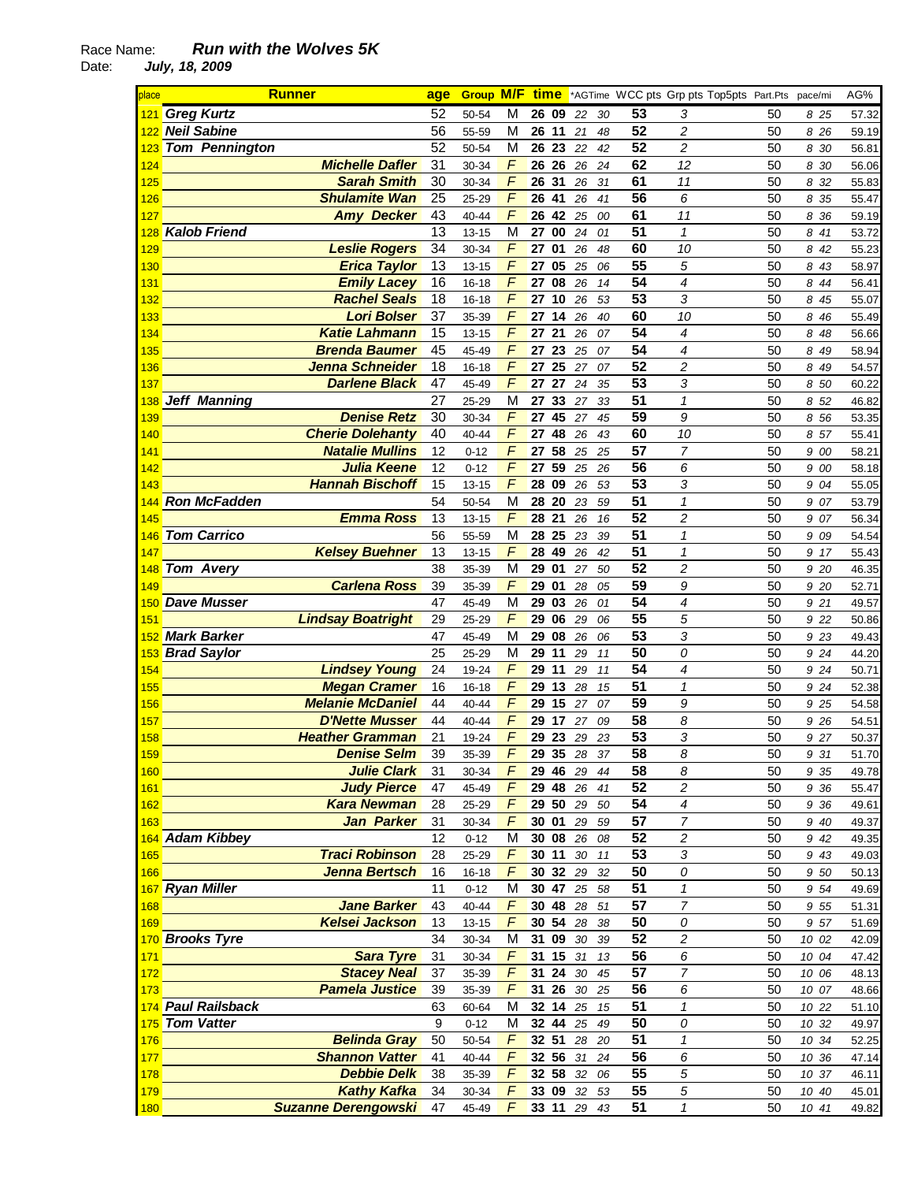| place      | <b>Runner</b>                              | age      | <b>Group M/F</b>   |                | <u>time</u> |                      |          |                 |                          | *AGTime WCC pts Grp pts Top5pts Part.Pts | pace/mi      | AG%            |
|------------|--------------------------------------------|----------|--------------------|----------------|-------------|----------------------|----------|-----------------|--------------------------|------------------------------------------|--------------|----------------|
|            | 121 Greg Kurtz                             | 52       | 50-54              | M              | 26 09       | 22                   | 30       | 53              | 3                        | 50                                       | 8 25         | 57.32          |
|            | 122 Neil Sabine                            | 56       | 55-59              | M              | 26          | 11<br>21             | 48       | 52              | 2                        | 50                                       | 8 26         | 59.19          |
| 123        | <b>Tom Pennington</b>                      | 52       | 50-54              | M              | 26 23       | 22                   | 42       | 52              | $\overline{c}$           | 50                                       | 8 30         | 56.81          |
| 124        | <b>Michelle Dafler</b>                     | 31       | 30-34              | F              | 26 26       | 26                   | 24       | 62              | 12                       | 50                                       | 8 30         | 56.06          |
| 125        | <b>Sarah Smith</b>                         | 30       | 30-34              | F              | 26 31       | 26                   | 31       | 61              | 11                       | 50                                       | 8 32         | 55.83          |
| 126        | <b>Shulamite Wan</b>                       | 25       | 25-29              | $\overline{F}$ | 26 41       | 26                   | 41       | 56              | 6                        | 50                                       | 8 35         | 55.47          |
| 127        | <b>Amy Decker</b>                          | 43       | 40-44              | $\overline{F}$ | 26          | 42<br>25             | 00       | 61              | 11                       | 50                                       | 8 36         | 59.19          |
| 128        | <b>Kalob Friend</b>                        | 13       | $13 - 15$          | M              | 27          | 00<br>24             | 01       | 51              | 1                        | 50                                       | 8 41         | 53.72          |
| 129        | <b>Leslie Rogers</b>                       | 34       | 30-34              | F              | 27          | 01<br>26             | 48       | 60              | 10                       | 50                                       | 8 42         | 55.23          |
| 130        | <b>Erica Taylor</b>                        | 13       | $13 - 15$          | F              | 27          | 05<br>25             | 06       | 55              | 5                        | 50                                       | 8 43         | 58.97          |
| 131        | <b>Emily Lacey</b>                         | 16       | $16 - 18$          | F              | 27          | 08<br>26             | 14       | 54              | 4                        | 50                                       | 8<br>44      | 56.41          |
| 132        | <b>Rachel Seals</b>                        | 18       | $16 - 18$          | F              | 27          | 10<br>26             | 53       | 53              | 3                        | 50                                       | 8 45         | 55.07          |
| 133        | <b>Lori Bolser</b>                         | 37       | 35-39              | F              | 27          | 14<br>26             | 40       | 60              | 10                       | 50                                       | 8 46         | 55.49          |
| 134        | <b>Katie Lahmann</b>                       | 15       | $13 - 15$          | F              | 27          | 21<br>26             | 07       | 54              | 4                        | 50                                       | 8 48         | 56.66          |
| 135        | <b>Brenda Baumer</b>                       | 45       | 45-49              | F              | 27 23       | 25                   | 07       | 54              | 4                        | 50                                       | 8 49         | 58.94          |
| 136        | Jenna Schneider                            | 18       | $16 - 18$          | $\sqrt{2}$     | 27          | 25<br>27             | 07       | 52              | $\overline{c}$           | 50                                       | 8 49         | 54.57          |
| 137        | <b>Darlene Black</b>                       | 47       | 45-49              | F              | 27          | 27<br>24             | 35       | 53              | 3                        | 50                                       | 8 50         | 60.22          |
| 138        | <b>Jeff Manning</b>                        | 27       | 25-29              | М              | 27          | 33 27                | 33       | 51              | 1                        | 50                                       | 8 52         | 46.82          |
| 139        | <b>Denise Retz</b>                         | 30       | 30-34              | F              | 27          | 45 27                | 45       | 59              | 9                        | 50                                       | 8 56         | 53.35          |
| 140        | <b>Cherie Dolehanty</b>                    | 40       | 40-44              | F              | 27          | 48<br>26             | 43       | 60              | 10                       | 50                                       | 8 57         | 55.41          |
| 141        | <b>Natalie Mullins</b>                     | 12       | $0 - 12$           | F              | 27          | 58                   | 25 25    | $\overline{57}$ | $\overline{7}$           | 50                                       | 9 00         | 58.21          |
| 142        | <b>Julia Keene</b>                         | 12       | $0 - 12$           | F              | 27          | 59<br>25             | 26       | $\overline{56}$ | 6                        | 50                                       | 9 00         | 58.18          |
| 143        | <b>Hannah Bischoff</b>                     | 15       | $13 - 15$          | $\overline{F}$ | 28 09       | 26                   | 53       | $\overline{53}$ | 3                        | 50                                       | 9 04         | 55.05          |
| 144        | <b>Ron McFadden</b>                        | 54       | 50-54              | M              | 28          | 20<br>23             | 59       | $\overline{51}$ | $\mathbf{1}$             | 50                                       | 9 07         | 53.79          |
| 145        | <b>Emma Ross</b>                           | 13       | $13 - 15$          | $\sqrt{2}$     | 28 21       | 26                   | 16       | 52              | $\overline{c}$           | 50                                       | 9 07         | 56.34          |
| 146        | <b>Tom Carrico</b>                         | 56       | 55-59              | M              | 28          | 25<br>23             | 39       | $\overline{51}$ | $\mathcal I$             | 50                                       | 9 09         | 54.54          |
| 147        | <b>Kelsey Buehner</b>                      | 13       | $13 - 15$          | F              | 28          | 49<br>26             | 42       | 51              | 1                        | 50                                       | 9 17         | 55.43          |
| 148        | Tom Avery                                  | 38       | 35-39              | M              | 29          | 01<br>27             | 50       | 52              | $\overline{c}$           | 50                                       | 9 20         | 46.35          |
| 149        | <b>Carlena Ross</b>                        | 39       | 35-39              | F              | 29          | 01<br>28             | 05       | 59              | 9                        | 50                                       | 9 20         | 52.71          |
| 150        | <b>Dave Musser</b>                         | 47       | 45-49              | M              | 29 03       | 26                   | 01       | 54              | 4                        | 50                                       | 9 21         | 49.57          |
| 151        | <b>Lindsay Boatright</b>                   | 29       | 25-29              | F              | 29 06       | 29                   | 06       | 55<br>53        | 5                        | 50                                       | 9 22         | 50.86          |
| 152        | <b>Mark Barker</b>                         | 47       | 45-49              | M              | 29          | 08<br>26             | 06       |                 | 3                        | 50                                       | 9 23         | 49.43          |
| 153        | <b>Brad Saylor</b><br><b>Lindsey Young</b> | 25<br>24 | 25-29              | M<br>F         | 29<br>29    | 11<br>29<br>11<br>29 | 11       | 50<br>54        | 0<br>4                   | 50<br>50                                 | 9 24         | 44.20          |
| 154<br>155 | <b>Megan Cramer</b>                        | 16       | 19-24<br>$16 - 18$ | F              | 29          | 13<br>28             | 11<br>15 | 51              | 1                        | 50                                       | 9 24<br>9 24 | 50.71<br>52.38 |
| 156        | <b>Melanie McDaniel</b>                    | 44       | 40-44              | F              | 29          | 15<br>27             | 07       | 59              | 9                        | 50                                       | 9 25         | 54.58          |
| 157        | <b>D'Nette Musser</b>                      | 44       | 40-44              | F              | 29          | 17<br>27             | 09       | 58              | 8                        | 50                                       | 9 26         | 54.51          |
| 158        | <b>Heather Gramman</b>                     | 21       | 19-24              | F              | 29 23       | 29                   | 23       | 53              | 3                        | 50                                       | 9 27         | 50.37          |
| 159        | <b>Denise Selm</b>                         | 39       | 35-39              | $\mathcal{F}$  |             | 29 35 28 37          |          | 58              | 8                        | 50                                       | 9 31         | 51.70          |
| 160        | <b>Julie Clark</b>                         | 31       | 30-34              | F              |             | 29 46 29 44          |          | 58              | 8                        | 50                                       | 9 35         | 49.78          |
| 161        | <b>Judy Pierce</b>                         | 47       | 45-49              | $\digamma$     |             | 29 48 26             | 41       | 52              | $\overline{\mathbf{c}}$  | 50                                       | 9 36         | 55.47          |
| 162        | <b>Kara Newman</b>                         | 28       | 25-29              | F              |             | <b>29 50 29</b>      | 50       | 54              | $\boldsymbol{4}$         | 50                                       | 9 36         | 49.61          |
| 163        | Jan Parker                                 | 31       | 30-34              | F              |             | 30 01 29             | 59       | 57              | 7                        | 50                                       | 9 40         | 49.37          |
|            | 164 Adam Kibbey                            | 12       | $0 - 12$           | M              |             | 30 08 26 08          |          | 52              | $\boldsymbol{2}$         | 50                                       | 9 42         | 49.35          |
| 165        | <b>Traci Robinson</b>                      | 28       | 25-29              | $\digamma$     | 30 11       |                      | 30 11    | 53              | 3                        | 50                                       | 9 43         | 49.03          |
| 166        | Jenna Bertsch                              | 16       | $16 - 18$          | F              |             | 30 32 29             | 32       | $\overline{50}$ | 0                        | 50                                       | 9 50         | 50.13          |
|            | 167 Ryan Miller                            | 11       | $0 - 12$           | M              | 30 47       |                      | 25 58    | 51              | $\overline{1}$           | 50                                       | 9 54         | 49.69          |
| 168        | <b>Jane Barker</b>                         | 43       | 40-44              | $\overline{F}$ |             | 30 48 28 51          |          | 57              | $\overline{7}$           | 50                                       | 9 55         | 51.31          |
| <b>169</b> | <b>Kelsei Jackson</b>                      | 13       | $13 - 15$          | $\overline{F}$ |             | 30 54 28             | 38       | 50              | 0                        | 50                                       | 9 57         | 51.69          |
|            | 170 Brooks Tyre                            | 34       | 30-34              | M              |             | 31 09 30             | 39       | 52              | $\overline{c}$           | 50                                       | 10 02        | 42.09          |
| 171        | <b>Sara Tyre</b>                           | 31       | 30-34              | F              |             | 31 15 31             | 13       | 56              | 6                        | 50                                       | 10 04        | 47.42          |
| 172        | <b>Stacey Neal</b>                         | 37       | 35-39              | F              |             | 31 24 30             | 45       | 57              | $\overline{\mathcal{L}}$ | 50                                       | 10 06        | 48.13          |
| 173        | <b>Pamela Justice</b>                      | 39       | 35-39              | F              |             | 31 26 30 25          |          | 56              | 6                        | 50                                       | 10 07        | 48.66          |
|            | 174 Paul Railsback                         | 63       | 60-64              | М              |             | 32 14 25 15          |          | 51              | $\mathbf{1}$             | 50                                       | 10 22        | 51.10          |
|            | 175 Tom Vatter                             | 9        | $0 - 12$           | М              |             | 32 44 25             | 49       | 50              | 0                        | 50                                       | 10 32        | 49.97          |
| 176        | <b>Belinda Gray</b>                        | 50       | 50-54              | F              | 32 51       | 28                   | 20       | 51              | $\mathbf{1}$             | 50                                       | 10 34        | 52.25          |
| 177        | <b>Shannon Vatter</b>                      | 41       | 40-44              | $\digamma$     |             | 32 56 31             | 24       | 56              | 6                        | 50                                       | 10 36        | 47.14          |
| 178        | <b>Debbie Delk</b>                         | 38       | 35-39              | $\digamma$     |             | <b>32 58</b> 32      | 06       | 55              | 5                        | 50                                       | 10 37        | 46.11          |
| 179        | <b>Kathy Kafka</b>                         | 34       | 30-34              | F              |             | <b>33 09 32</b>      | 53       | 55              | 5                        | 50                                       | 10 40        | 45.01          |
| 180        | <b>Suzanne Derengowski</b>                 | 47       | 45-49              | $\mathcal{F}$  | 33 11 29 43 |                      |          | 51              | 1                        | 50                                       | 10 41        | 49.82          |